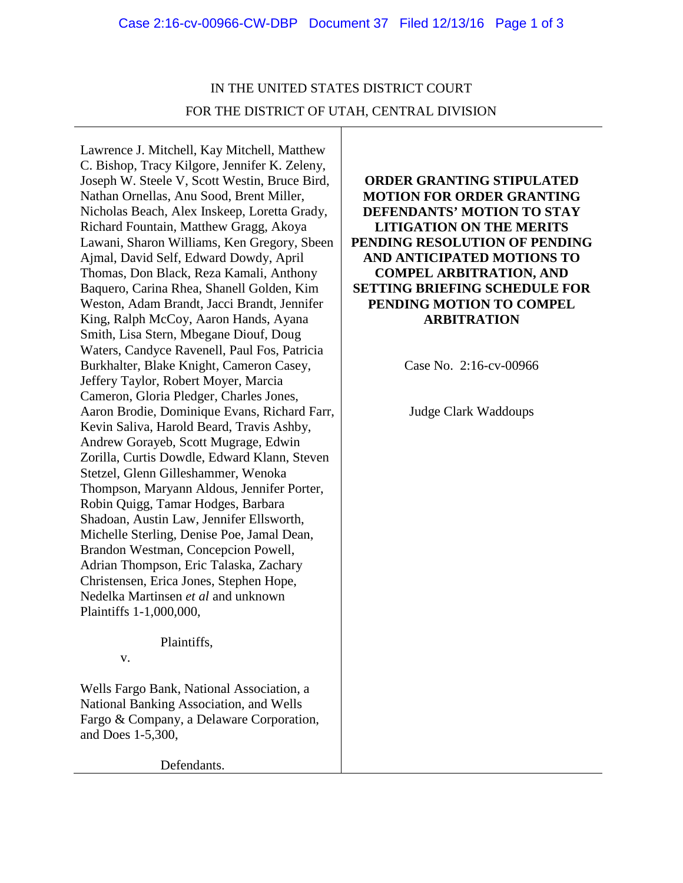## IN THE UNITED STATES DISTRICT COURT FOR THE DISTRICT OF UTAH, CENTRAL DIVISION

Lawrence J. Mitchell, Kay Mitchell, Matthew C. Bishop, Tracy Kilgore, Jennifer K. Zeleny, Joseph W. Steele V, Scott Westin, Bruce Bird, Nathan Ornellas, Anu Sood, Brent Miller, Nicholas Beach, Alex Inskeep, Loretta Grady, Richard Fountain, Matthew Gragg, Akoya Lawani, Sharon Williams, Ken Gregory, Sbeen Ajmal, David Self, Edward Dowdy, April Thomas, Don Black, Reza Kamali, Anthony Baquero, Carina Rhea, Shanell Golden, Kim Weston, Adam Brandt, Jacci Brandt, Jennifer King, Ralph McCoy, Aaron Hands, Ayana Smith, Lisa Stern, Mbegane Diouf, Doug Waters, Candyce Ravenell, Paul Fos, Patricia Burkhalter, Blake Knight, Cameron Casey, Jeffery Taylor, Robert Moyer, Marcia Cameron, Gloria Pledger, Charles Jones, Aaron Brodie, Dominique Evans, Richard Farr, Kevin Saliva, Harold Beard, Travis Ashby, Andrew Gorayeb, Scott Mugrage, Edwin Zorilla, Curtis Dowdle, Edward Klann, Steven Stetzel, Glenn Gilleshammer, Wenoka Thompson, Maryann Aldous, Jennifer Porter, Robin Quigg, Tamar Hodges, Barbara Shadoan, Austin Law, Jennifer Ellsworth, Michelle Sterling, Denise Poe, Jamal Dean, Brandon Westman, Concepcion Powell, Adrian Thompson, Eric Talaska, Zachary Christensen, Erica Jones, Stephen Hope, Nedelka Martinsen *et al* and unknown Plaintiffs 1-1,000,000,

## Plaintiffs,

v.

Wells Fargo Bank, National Association, a National Banking Association, and Wells Fargo & Company, a Delaware Corporation, and Does 1-5,300,

**ORDER GRANTING STIPULATED MOTION FOR ORDER GRANTING DEFENDANTS' MOTION TO STAY LITIGATION ON THE MERITS PENDING RESOLUTION OF PENDING AND ANTICIPATED MOTIONS TO COMPEL ARBITRATION, AND SETTING BRIEFING SCHEDULE FOR PENDING MOTION TO COMPEL ARBITRATION**

Case No. 2:16-cv-00966

Judge Clark Waddoups

Defendants.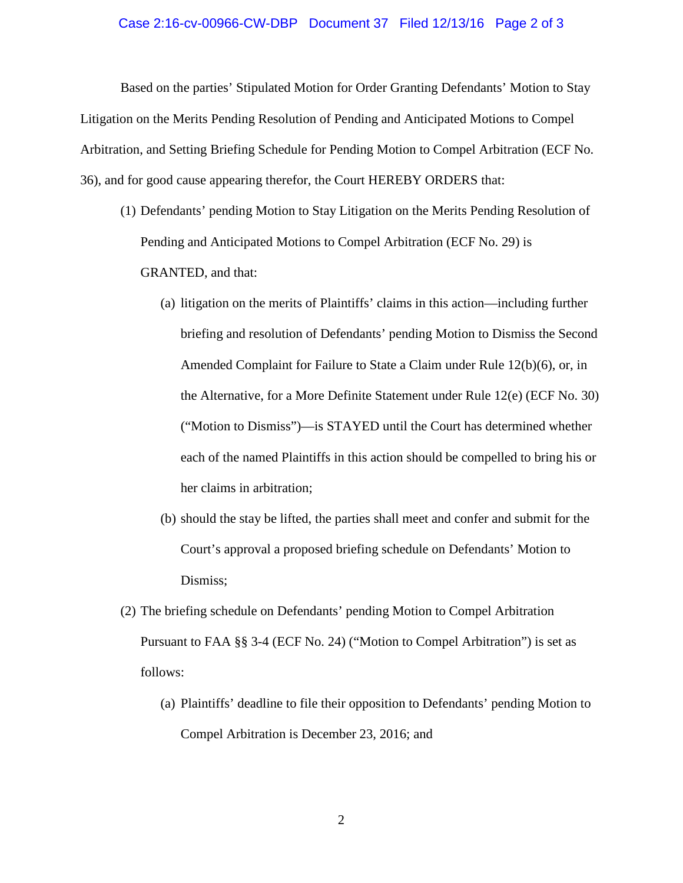## Case 2:16-cv-00966-CW-DBP Document 37 Filed 12/13/16 Page 2 of 3

Based on the parties' Stipulated Motion for Order Granting Defendants' Motion to Stay Litigation on the Merits Pending Resolution of Pending and Anticipated Motions to Compel Arbitration, and Setting Briefing Schedule for Pending Motion to Compel Arbitration (ECF No. 36), and for good cause appearing therefor, the Court HEREBY ORDERS that:

- (1) Defendants' pending Motion to Stay Litigation on the Merits Pending Resolution of Pending and Anticipated Motions to Compel Arbitration (ECF No. 29) is GRANTED, and that:
	- (a) litigation on the merits of Plaintiffs' claims in this action—including further briefing and resolution of Defendants' pending Motion to Dismiss the Second Amended Complaint for Failure to State a Claim under Rule 12(b)(6), or, in the Alternative, for a More Definite Statement under Rule 12(e) (ECF No. 30) ("Motion to Dismiss")—is STAYED until the Court has determined whether each of the named Plaintiffs in this action should be compelled to bring his or her claims in arbitration;
	- (b) should the stay be lifted, the parties shall meet and confer and submit for the Court's approval a proposed briefing schedule on Defendants' Motion to Dismiss;
- (2) The briefing schedule on Defendants' pending Motion to Compel Arbitration Pursuant to FAA §§ 3-4 (ECF No. 24) ("Motion to Compel Arbitration") is set as follows:
	- (a) Plaintiffs' deadline to file their opposition to Defendants' pending Motion to Compel Arbitration is December 23, 2016; and